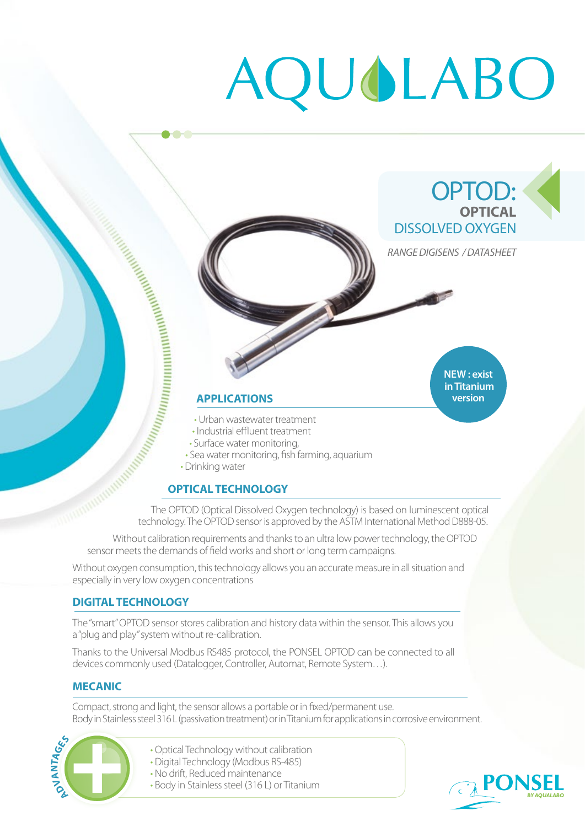# AQUOLABO

# OPTOD: **OPTICAL**  DISSOLVED OXYGEN

*RANGE DIGISENS / DATASHEET*

**NEW : exist in Titanium version**

# **APPLICATIONS**

• Urban wastewater treatment

- Industrial effluent treatment
- 
- Sea water monitoring, fish farming, aquarium
- Drinking water

**...** 

# **OPTICAL TECHNOLOGY**

**Experimental Surface water monitoring, fish f**<br> **APPLICATIONS**<br>
Urban wastewater treatment water water monitoring,<br>
Surface water monitoring, fish f<br>
Dirinking water<br>
Deninking water<br>
The OPTOD (Optical Dissolved Oxyge<br>
T The OPTOD (Optical Dissolved Oxygen technology) is based on luminescent optical technology. The OPTOD sensor is approved by the ASTM International Method D888-05.

Without calibration requirements and thanks to an ultra low power technology, the OPTOD sensor meets the demands of field works and short or long term campaigns.

Without oxygen consumption, this technology allows you an accurate measure in all situation and especially in very low oxygen concentrations

#### **DIGITAL TECHNOLOGY**

The "smart" OPTOD sensor stores calibration and history data within the sensor. This allows you a "plug and play" system without re-calibration.

Thanks to the Universal Modbus RS485 protocol, the PONSEL OPTOD can be connected to all devices commonly used (Datalogger, Controller, Automat, Remote System…).

#### **MECANIC**

Compact, strong and light, the sensor allows a portable or in fixed/permanent use. Body in Stainless steel 316 L (passivation treatment) or in Titanium for applications in corrosive environment.



- Optical Technology without calibration
- Digital Technology (Modbus RS-485)
- No drift, Reduced maintenance
- Body in Stainless steel (316 L) or Titanium